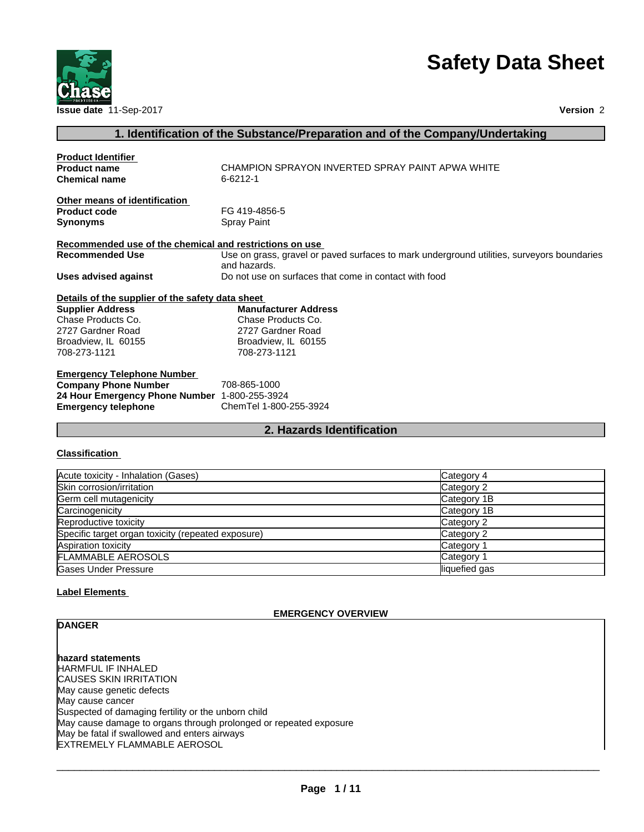



# **1. Identification of the Substance/Preparation and of the Company/Undertaking**

| <b>Product Identifier</b>                               |                                                                                            |
|---------------------------------------------------------|--------------------------------------------------------------------------------------------|
| <b>Product name</b>                                     | CHAMPION SPRAYON INVERTED SPRAY PAINT APWA WHITE                                           |
| <b>Chemical name</b>                                    | 6-6212-1                                                                                   |
| Other means of identification                           |                                                                                            |
| <b>Product code</b>                                     | FG 419-4856-5                                                                              |
| <b>Synonyms</b>                                         | Spray Paint                                                                                |
| Recommended use of the chemical and restrictions on use |                                                                                            |
| <b>Recommended Use</b>                                  | Use on grass, gravel or paved surfaces to mark underground utilities, surveyors boundaries |
|                                                         | and hazards.                                                                               |
| <b>Uses advised against</b>                             | Do not use on surfaces that come in contact with food                                      |
| Details of the supplier of the safety data sheet        |                                                                                            |
| <b>Supplier Address</b>                                 | <b>Manufacturer Address</b>                                                                |
| Chase Products Co.                                      | Chase Products Co.                                                                         |
| 2727 Gardner Road                                       | 2727 Gardner Road                                                                          |
| Broadview, IL 60155                                     | Broadview, IL 60155                                                                        |
| 708-273-1121                                            | 708-273-1121                                                                               |
| <b>Emergency Telephone Number</b>                       |                                                                                            |
| <b>Company Phone Number</b>                             | 708-865-1000                                                                               |
| 24 Hour Emergency Phone Number 1-800-255-3924           |                                                                                            |
| <b>Emergency telephone</b>                              | ChemTel 1-800-255-3924                                                                     |
|                                                         |                                                                                            |

# **2. Hazards Identification**

#### **Classification**

| Acute toxicity - Inhalation (Gases)                | Category 4    |
|----------------------------------------------------|---------------|
| Skin corrosion/irritation                          | Category 2    |
| Germ cell mutagenicity                             | Category 1B   |
| Carcinogenicity                                    | Category 1B   |
| Reproductive toxicity                              | Category 2    |
| Specific target organ toxicity (repeated exposure) | Category 2    |
| Aspiration toxicity                                | Category 1    |
| <b>FLAMMABLE AEROSOLS</b>                          | Category 1    |
| <b>Gases Under Pressure</b>                        | liquefied gas |

# **Label Elements**

#### **EMERGENCY OVERVIEW**

# **DANGER**

**hazard statements** HARMFUL IF INHALED CAUSES SKIN IRRITATION May cause genetic defects May cause cancer Suspected of damaging fertility or the unborn child May cause damage to organs through prolonged or repeated exposure May be fatal if swallowed and enters airways EXTREMELY FLAMMABLE AEROSOL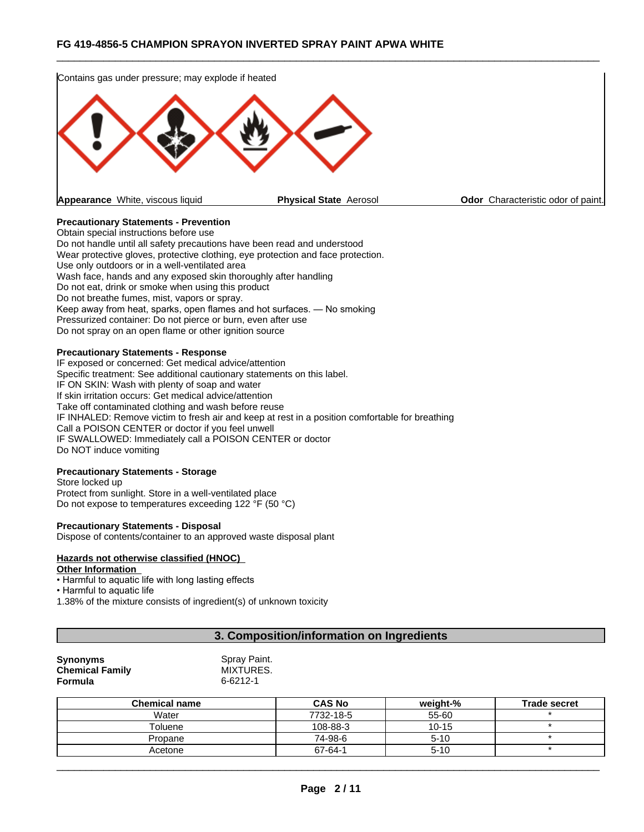

# **Precautionary Statements - Prevention**

Obtain special instructions before use Do not handle until all safety precautions have been read and understood Wear protective gloves, protective clothing, eye protection and face protection. Use only outdoors or in a well-ventilated area Wash face, hands and any exposed skin thoroughly after handling Do not eat, drink or smoke when using this product Do not breathe fumes, mist, vapors or spray.Keep away from heat, sparks, open flames and hot surfaces. — No smoking Pressurized container: Do not pierce or burn, even after use Do not spray on an open flame or other ignition source

#### **Precautionary Statements - Response**

IF exposed or concerned: Get medical advice/attention Specific treatment: See additional cautionary statements on this label. IF ON SKIN: Wash with plenty of soap and water If skin irritation occurs: Get medical advice/attention Take off contaminated clothing and wash before reuse IF INHALED: Remove victim to fresh air and keep at rest in a position comfortable for breathing Call a POISON CENTER or doctor if you feel unwell IF SWALLOWED: Immediately call a POISON CENTER or doctor Do NOT induce vomiting

#### **Precautionary Statements - Storage**

Store locked up Protect from sunlight. Store in a well-ventilated place Do not expose to temperatures exceeding 122 °F (50 °C)

#### **Precautionary Statements - Disposal**

Dispose of contents/container to an approved waste disposal plant

# **Hazards not otherwise classified (HNOC)**

#### **Other Information**

• Harmful to aquatic life with long lasting effects

• Harmful to aquatic life

1.38% of the mixture consists of ingredient(s) of unknown toxicity

# **3. Composition/information on Ingredients**

| <b>Synonyms</b>        | Spray Paint. |
|------------------------|--------------|
| <b>Chemical Family</b> | MIXTURES.    |
| Formula                | 6-6212-1     |

| <b>Chemical name</b> | <b>CAS No</b> | weight-%  | <b>Trade secret</b> |
|----------------------|---------------|-----------|---------------------|
| Water                | 7732-18-5     | 55-60     |                     |
| Toluene              | 108-88-3      | $10 - 15$ |                     |
| Propane              | 74-98-6       | $5 - 10$  |                     |
| Acetone              | 67-64-1       | $5 - 10$  |                     |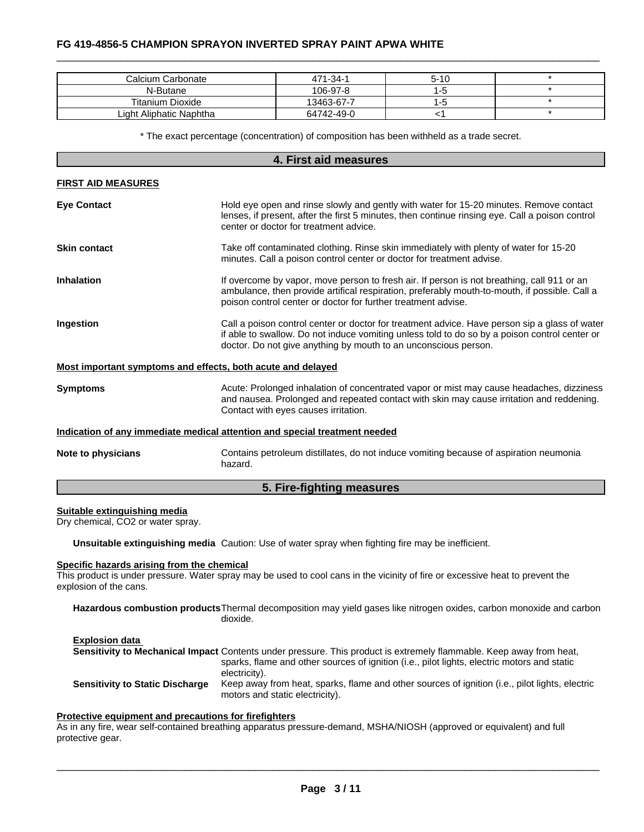| Calcium Carbonate       | 471-34-1   | $5-10$ |  |
|-------------------------|------------|--------|--|
| N-Butane                | 106-97-8   |        |  |
| <b>Titanium Dioxide</b> | 13463-67-7 |        |  |
| Light Aliphatic Naphtha | 64742-49-0 |        |  |

\* The exact percentage (concentration) ofcomposition has been withheld as a trade secret.

# **4. First aid measures FIRST AID MEASURES Eye Contact** Hold eye open and rinse slowly and gently with water for 15-20 minutes. Remove contact lenses, if present, after the first 5 minutes, then continue rinsing eye. Call a poison control center or doctor for treatment advice. **Skin contact** Take off contaminated clothing. Rinse skin immediately with plenty of water for 15-20 minutes. Call a poison control center or doctor for treatment advise. **Inhalation** If overcome by vapor, move person to fresh air. If person is not breathing, call 911 or an ambulance, then provide artifical respiration, preferably mouth-to-mouth, if possible. Call a poison control center or doctor for further treatment advise. **Ingestion Example 20 and Call a poison control center or doctor for treatment advice. Have person sip a glass of water** if able to swallow. Do not induce vomiting unless told to do so by a poison control center or doctor. Do not give anything by mouth to an unconscious person. **Most important symptoms and effects, both acute and delayed Symptoms Acute: Prolonged inhalation of concentrated vapor or mist may cause headaches, dizziness** and nausea. Prolonged and repeated contact with skin may cause irritation and reddening. Contact with eyes causes irritation.

#### **Indication of any immediate medical attention and special treatment needed**

**Note to physicians** Contains petroleum distillates, do not induce vomiting because of aspiration neumonia hazard.

#### **5. Fire-fighting measures**

#### **Suitable extinguishing media**

Dry chemical, CO2 or water spray.

**Unsuitable extinguishing media** Caution: Use of water spray when fighting fire may be inefficient.

#### **Specific hazards arising from the chemical**

This product is under pressure. Water spray may be used to cool cans in the vicinity of fire or excessive heat to prevent the explosion of the cans.

**Hazardous combustion products**Thermal decomposition may yield gases like nitrogen oxides, carbon monoxide and carbon dioxide.

**Explosion data Sensitivity to Mechanical Impact** Contents under pressure. This product is extremely flammable. Keep away from heat, sparks, flame and other sources of ignition (i.e., pilot lights, electric motors and static electricity). **Sensitivity to Static Discharge** Keep away from heat, sparks, flame and other sources of ignition (i.e., pilot lights, electric motors and static electricity).

#### **Protective equipment and precautions for firefighters**

As in any fire, wear self-contained breathing apparatus pressure-demand, MSHA/NIOSH (approved or equivalent) and full protective gear.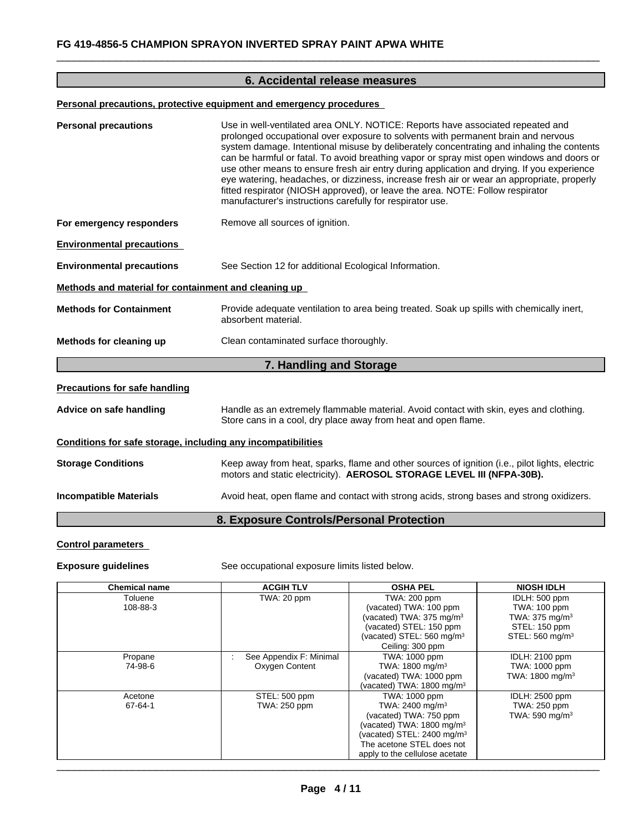# **6. Accidental release measures**

# **Personal precautions, protective equipment and emergency procedures**

| <b>Personal precautions</b>                                  | Use in well-ventilated area ONLY. NOTICE: Reports have associated repeated and<br>prolonged occupational over exposure to solvents with permanent brain and nervous<br>system damage. Intentional misuse by deliberately concentrating and inhaling the contents<br>can be harmful or fatal. To avoid breathing vapor or spray mist open windows and doors or<br>use other means to ensure fresh air entry during application and drying. If you experience<br>eye watering, headaches, or dizziness, increase fresh air or wear an appropriate, properly<br>fitted respirator (NIOSH approved), or leave the area. NOTE: Follow respirator<br>manufacturer's instructions carefully for respirator use. |
|--------------------------------------------------------------|----------------------------------------------------------------------------------------------------------------------------------------------------------------------------------------------------------------------------------------------------------------------------------------------------------------------------------------------------------------------------------------------------------------------------------------------------------------------------------------------------------------------------------------------------------------------------------------------------------------------------------------------------------------------------------------------------------|
| For emergency responders                                     | Remove all sources of ignition.                                                                                                                                                                                                                                                                                                                                                                                                                                                                                                                                                                                                                                                                          |
| <b>Environmental precautions</b>                             |                                                                                                                                                                                                                                                                                                                                                                                                                                                                                                                                                                                                                                                                                                          |
| <b>Environmental precautions</b>                             | See Section 12 for additional Ecological Information.                                                                                                                                                                                                                                                                                                                                                                                                                                                                                                                                                                                                                                                    |
| Methods and material for containment and cleaning up         |                                                                                                                                                                                                                                                                                                                                                                                                                                                                                                                                                                                                                                                                                                          |
| <b>Methods for Containment</b>                               | Provide adequate ventilation to area being treated. Soak up spills with chemically inert,<br>absorbent material.                                                                                                                                                                                                                                                                                                                                                                                                                                                                                                                                                                                         |
| Methods for cleaning up                                      | Clean contaminated surface thoroughly.                                                                                                                                                                                                                                                                                                                                                                                                                                                                                                                                                                                                                                                                   |
|                                                              | 7. Handling and Storage                                                                                                                                                                                                                                                                                                                                                                                                                                                                                                                                                                                                                                                                                  |
| <b>Precautions for safe handling</b>                         |                                                                                                                                                                                                                                                                                                                                                                                                                                                                                                                                                                                                                                                                                                          |
| Advice on safe handling                                      | Handle as an extremely flammable material. Avoid contact with skin, eyes and clothing.<br>Store cans in a cool, dry place away from heat and open flame.                                                                                                                                                                                                                                                                                                                                                                                                                                                                                                                                                 |
| Conditions for safe storage, including any incompatibilities |                                                                                                                                                                                                                                                                                                                                                                                                                                                                                                                                                                                                                                                                                                          |
| <b>Storage Conditions</b>                                    | Keep away from heat, sparks, flame and other sources of ignition (i.e., pilot lights, electric<br>motors and static electricity). AEROSOL STORAGE LEVEL III (NFPA-30B).                                                                                                                                                                                                                                                                                                                                                                                                                                                                                                                                  |
| <b>Incompatible Materials</b>                                | Avoid heat, open flame and contact with strong acids, strong bases and strong oxidizers.                                                                                                                                                                                                                                                                                                                                                                                                                                                                                                                                                                                                                 |
|                                                              | 8. Exposure Controls/Personal Protection                                                                                                                                                                                                                                                                                                                                                                                                                                                                                                                                                                                                                                                                 |

# **Control parameters**

**Exposure guidelines** See occupational exposure limits listed below.

| <b>Chemical name</b> | <b>ACGIH TLV</b>        | <b>OSHA PEL</b>                        | <b>NIOSH IDLH</b>           |
|----------------------|-------------------------|----------------------------------------|-----------------------------|
| Toluene              | TWA: 20 ppm             | TWA: 200 ppm                           | IDLH: 500 ppm               |
| 108-88-3             |                         | (vacated) TWA: 100 ppm                 | TWA: 100 ppm                |
|                      |                         | (vacated) TWA: $375$ mg/m $3$          | TWA: $375 \text{ mg/m}^3$   |
|                      |                         | (vacated) STEL: 150 ppm                | STEL: 150 ppm               |
|                      |                         | (vacated) STEL: 560 mg/m <sup>3</sup>  | STEL: 560 mg/m <sup>3</sup> |
|                      |                         | Ceiling: 300 ppm                       |                             |
| Propane              | See Appendix F: Minimal | TWA: 1000 ppm                          | <b>IDLH: 2100 ppm</b>       |
| 74-98-6              | Oxygen Content          | TWA: 1800 mg/m <sup>3</sup>            | TWA: 1000 ppm               |
|                      |                         | (vacated) TWA: 1000 ppm                | TWA: 1800 mg/m <sup>3</sup> |
|                      |                         | (vacated) TWA: 1800 mg/m $3$           |                             |
| Acetone              | STEL: 500 ppm           | TWA: 1000 ppm                          | <b>IDLH: 2500 ppm</b>       |
| 67-64-1              | TWA: 250 ppm            | TWA: 2400 mg/m <sup>3</sup>            | TWA: 250 ppm                |
|                      |                         | (vacated) TWA: 750 ppm                 | TWA: 590 mg/m <sup>3</sup>  |
|                      |                         | (vacated) TWA: $1800 \text{ mg/m}^3$   |                             |
|                      |                         | (vacated) STEL: 2400 mg/m <sup>3</sup> |                             |
|                      |                         | The acetone STEL does not              |                             |
|                      |                         | apply to the cellulose acetate         |                             |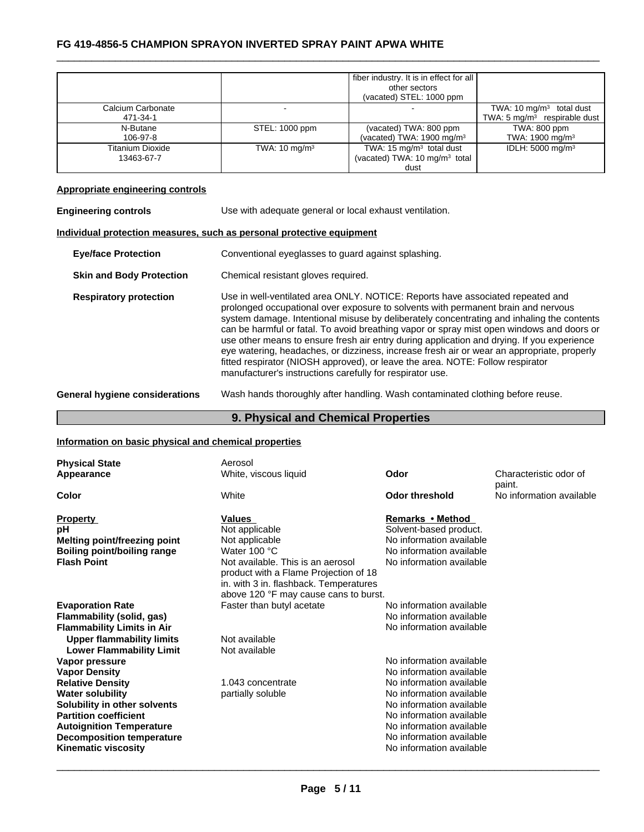|                         |                          | fiber industry. It is in effect for all   |                                         |
|-------------------------|--------------------------|-------------------------------------------|-----------------------------------------|
|                         |                          | other sectors                             |                                         |
|                         |                          | (vacated) STEL: 1000 ppm                  |                                         |
| Calcium Carbonate       |                          |                                           | TWA: 10 $mg/m3$ total dust              |
| 471-34-1                |                          |                                           | TWA: $5 \text{ mg/m}^3$ respirable dust |
| N-Butane                | STEL: 1000 ppm           | (vacated) TWA: 800 ppm                    | TWA: 800 ppm                            |
| 106-97-8                |                          | (vacated) TWA: $1900 \text{ mg/m}^3$      | TWA: 1900 mg/m <sup>3</sup>             |
| <b>Titanium Dioxide</b> | TWA: $10 \text{ mg/m}^3$ | TWA: $15 \text{ mg/m}^3$ total dust       | IDLH: 5000 mg/m <sup>3</sup>            |
| 13463-67-7              |                          | (vacated) TWA: 10 mg/m <sup>3</sup> total |                                         |
|                         |                          | dust                                      |                                         |

# **Appropriate engineering controls**

| Use with adequate general or local exhaust ventilation.                                                                                                                                                                                                                                                                                                                                                                                                                                                                                                                                                                                                                                                  |  |  |
|----------------------------------------------------------------------------------------------------------------------------------------------------------------------------------------------------------------------------------------------------------------------------------------------------------------------------------------------------------------------------------------------------------------------------------------------------------------------------------------------------------------------------------------------------------------------------------------------------------------------------------------------------------------------------------------------------------|--|--|
| Individual protection measures, such as personal protective equipment                                                                                                                                                                                                                                                                                                                                                                                                                                                                                                                                                                                                                                    |  |  |
| Conventional eyeglasses to guard against splashing.                                                                                                                                                                                                                                                                                                                                                                                                                                                                                                                                                                                                                                                      |  |  |
| Chemical resistant gloves required.                                                                                                                                                                                                                                                                                                                                                                                                                                                                                                                                                                                                                                                                      |  |  |
| Use in well-ventilated area ONLY. NOTICE: Reports have associated repeated and<br>prolonged occupational over exposure to solvents with permanent brain and nervous<br>system damage. Intentional misuse by deliberately concentrating and inhaling the contents<br>can be harmful or fatal. To avoid breathing vapor or spray mist open windows and doors or<br>use other means to ensure fresh air entry during application and drying. If you experience<br>eye watering, headaches, or dizziness, increase fresh air or wear an appropriate, properly<br>fitted respirator (NIOSH approved), or leave the area. NOTE: Follow respirator<br>manufacturer's instructions carefully for respirator use. |  |  |
|                                                                                                                                                                                                                                                                                                                                                                                                                                                                                                                                                                                                                                                                                                          |  |  |

**General hygiene considerations** Wash hands thoroughly after handling. Wash contaminated clothing before reuse.

# **9. Physical and Chemical Properties**

# **Information on basic physical and chemical properties**

|                                     |                                                                                                                                                               | Odor                     | Characteristic odor of<br>paint. |
|-------------------------------------|---------------------------------------------------------------------------------------------------------------------------------------------------------------|--------------------------|----------------------------------|
| Color                               | White                                                                                                                                                         | <b>Odor threshold</b>    | No information available         |
| <b>Property</b>                     | <b>Values</b>                                                                                                                                                 | Remarks • Method         |                                  |
| рH                                  | Not applicable                                                                                                                                                | Solvent-based product.   |                                  |
| <b>Melting point/freezing point</b> | Not applicable                                                                                                                                                | No information available |                                  |
| <b>Boiling point/boiling range</b>  | Water 100 °C                                                                                                                                                  | No information available |                                  |
| <b>Flash Point</b>                  | Not available. This is an aerosol<br>product with a Flame Projection of 18<br>in. with 3 in. flashback. Temperatures<br>above 120 °F may cause cans to burst. | No information available |                                  |
| <b>Evaporation Rate</b>             | Faster than butyl acetate                                                                                                                                     | No information available |                                  |
| Flammability (solid, gas)           |                                                                                                                                                               | No information available |                                  |
| <b>Flammability Limits in Air</b>   |                                                                                                                                                               | No information available |                                  |
| <b>Upper flammability limits</b>    | Not available                                                                                                                                                 |                          |                                  |
| <b>Lower Flammability Limit</b>     | Not available                                                                                                                                                 |                          |                                  |
| Vapor pressure                      |                                                                                                                                                               | No information available |                                  |
| <b>Vapor Density</b>                |                                                                                                                                                               | No information available |                                  |
| <b>Relative Density</b>             | 1.043 concentrate                                                                                                                                             | No information available |                                  |
| <b>Water solubility</b>             | partially soluble                                                                                                                                             | No information available |                                  |
| Solubility in other solvents        |                                                                                                                                                               | No information available |                                  |
| <b>Partition coefficient</b>        |                                                                                                                                                               | No information available |                                  |
| <b>Autoignition Temperature</b>     |                                                                                                                                                               | No information available |                                  |
| <b>Decomposition temperature</b>    |                                                                                                                                                               | No information available |                                  |
| <b>Kinematic viscosity</b>          |                                                                                                                                                               | No information available |                                  |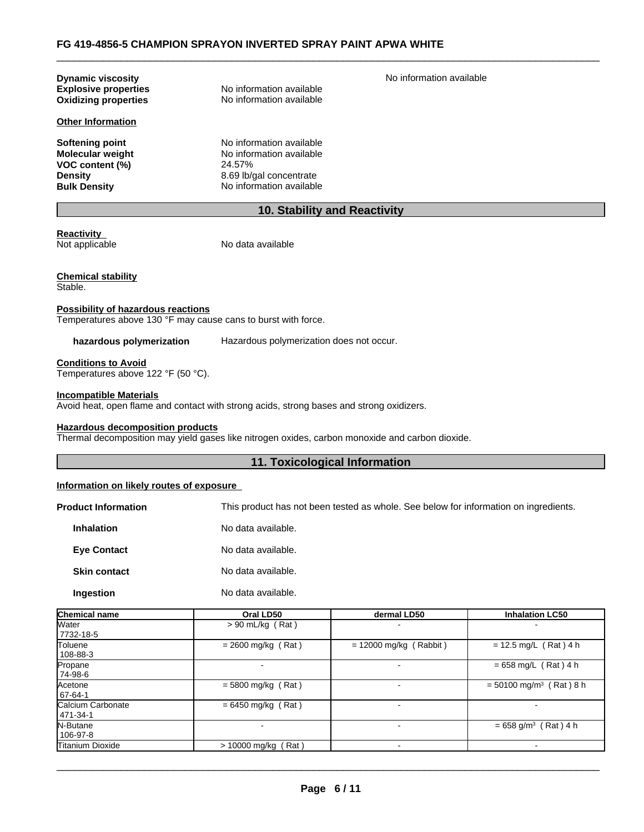| <b>Dynamic viscosity</b>    |                          | No information available |
|-----------------------------|--------------------------|--------------------------|
| <b>Explosive properties</b> | No information available |                          |
| <b>Oxidizing properties</b> | No information available |                          |
| <b>Other Information</b>    |                          |                          |
| <b>Softening point</b>      | No information available |                          |
| <b>Molecular weight</b>     | No information available |                          |
| VOC content (%)             | 24.57%                   |                          |
| <b>Density</b>              | 8.69 lb/gal concentrate  |                          |
| <b>Bulk Density</b>         | No information available |                          |

# **10. Stability and Reactivity**

**Reactivity**<br>Not applicable

No data available

**Chemical stability** Stable.

# **Possibility of hazardous reactions**

Temperatures above 130 °F may cause cans to burst with force.

**hazardous polymerization** Hazardous polymerization does not occur.

**Conditions to Avoid**

Temperatures above 122 °F (50 °C).

**Incompatible Materials**

Avoid heat, open flame and contact with strong acids, strong bases and strong oxidizers.

#### **Hazardous decomposition products**

Thermal decomposition may yield gases like nitrogen oxides, carbon monoxide and carbon dioxide.

# **11. Toxicological Information**

# **Information on likely routes of exposure**

**Product Information** This product has not been tested as whole. See below for information on ingredients.

| <b>Inhalation</b>   | No data available. |
|---------------------|--------------------|
| <b>Eye Contact</b>  | No data available. |
| <b>Skin contact</b> | No data available. |
| Ingestion           | No data available. |

| Chemical name                 | Oral LD50             | dermal LD50              | <b>Inhalation LC50</b>                |
|-------------------------------|-----------------------|--------------------------|---------------------------------------|
| Water<br>7732-18-5            | $> 90$ mL/kg (Rat)    |                          |                                       |
| Toluene<br>108-88-3           | $= 2600$ mg/kg (Rat)  | $= 12000$ mg/kg (Rabbit) | $= 12.5$ mg/L (Rat) 4 h               |
| Propane<br>74-98-6            |                       | -                        | $= 658$ mg/L (Rat) 4 h                |
| Acetone<br>67-64-1            | $= 5800$ mg/kg (Rat)  |                          | $= 50100$ mg/m <sup>3</sup> (Rat) 8 h |
| Calcium Carbonate<br>471-34-1 | $= 6450$ mg/kg (Rat)  | -                        |                                       |
| N-Butane<br>106-97-8          |                       |                          | $= 658$ g/m <sup>3</sup> (Rat) 4 h    |
| Titanium Dioxide              | $> 10000$ mg/kg (Rat) |                          |                                       |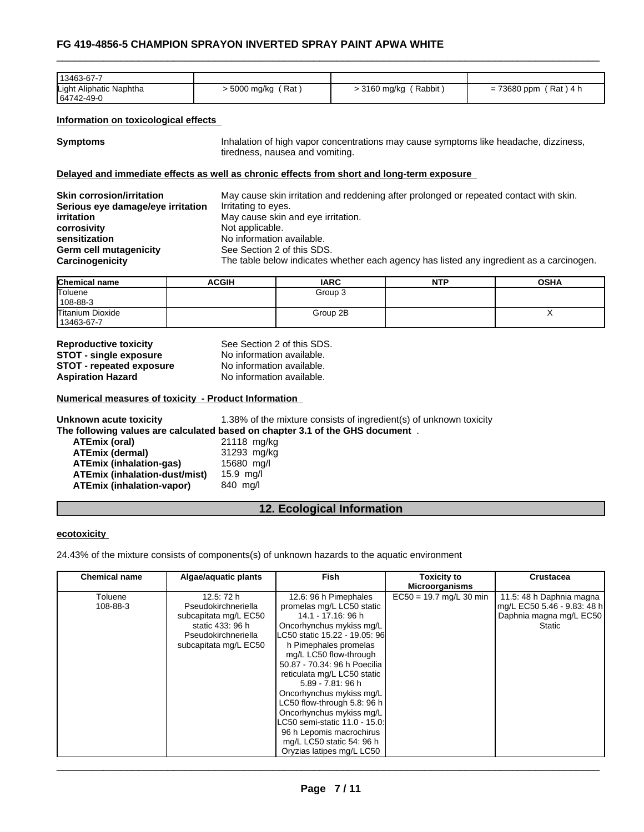| 13463-67-7                            |                   |                      |                                  |
|---------------------------------------|-------------------|----------------------|----------------------------------|
| Light Aliphatic Naphtha<br>64742-49-0 | Rat<br>5000 mg/kg | Rabbit<br>3160 mg/kg | 73680 ppm<br>(Rat)<br>\ 4 h<br>= |

## **Information on toxicological effects**

| <b>Symptoms</b> | Inhalation of high vapor concentrations may cause symptoms like headache, dizziness, |
|-----------------|--------------------------------------------------------------------------------------|
|                 | tiredness, nausea and vomiting.                                                      |

#### **Delayed and immediate effects as well as chronic effects from short and long-term exposure**

| <b>Skin corrosion/irritation</b>  | May cause skin irritation and reddening after prolonged or repeated contact with skin.   |
|-----------------------------------|------------------------------------------------------------------------------------------|
| Serious eye damage/eye irritation | Irritating to eyes.                                                                      |
| <i>irritation</i>                 | May cause skin and eye irritation.                                                       |
| corrosivity                       | Not applicable.                                                                          |
| sensitization                     | No information available.                                                                |
| Germ cell mutagenicity            | See Section 2 of this SDS.                                                               |
| Carcinogenicity                   | The table below indicates whether each agency has listed any ingredient as a carcinogen. |

| Chemical name    | <b>ACGIH</b> | <b>IARC</b> | <b>NTP</b> | <b>OSHA</b> |
|------------------|--------------|-------------|------------|-------------|
| Toluene          |              | Group 3     |            |             |
| 108-88-3         |              |             |            |             |
| Titanium Dioxide |              | Group 2B    |            | ,,          |
| 13463-67-7       |              |             |            |             |

**Reproductive toxicity** See Section 2 of this SDS. **STOT** - **single exposure** No information available.<br>**STOT** - **repeated exposure** No information available. **STOT** - repeated exposure **Aspiration Hazard** No information available.

#### **Numerical measures of toxicity - Product Information**

**Unknown acute toxicity** 1.38% of the mixture consists of ingredient(s) of unknown toxicity **The following values are calculated based on chapter 3.1 of the GHS document** .

**ATEmix (oral)** 21118 mg/kg<br> **ATEmix (dermal)** 21293 mg/kg **ATEmix (dermal)**<br>**ATEmix (inhalation-gas)** 15680 mg/l **ATEmix (inhalation-gas) ATEmix (inhalation-dust/mist)** 15.9 mg/l **ATEmix (inhalation-vapor)** 840 mg/l

# **12. Ecological Information**

#### **ecotoxicity**

24.43% of the mixture consists of components(s) of unknown hazards to the aquatic environment

| <b>Chemical name</b> | Algae/aquatic plants  | Fish                           | <b>Toxicity to</b><br><b>Microorganisms</b> | <b>Crustacea</b>            |
|----------------------|-----------------------|--------------------------------|---------------------------------------------|-----------------------------|
|                      |                       |                                |                                             |                             |
| Toluene              | 12.5: 72 h            | 12.6: 96 h Pimephales          | $EC50 = 19.7$ mg/L 30 min                   | 11.5: 48 h Daphnia magna    |
| 108-88-3             | Pseudokirchneriella   | promelas mg/L LC50 static      |                                             | mg/L EC50 5.46 - 9.83: 48 h |
|                      | subcapitata mg/L EC50 | 14.1 - 17.16: 96 h             |                                             | Daphnia magna mg/L EC50     |
|                      | static 433: 96 h      | Oncorhynchus mykiss mg/L       |                                             | Static                      |
|                      | Pseudokirchneriella   | LC50 static 15.22 - 19.05: 96l |                                             |                             |
|                      | subcapitata mg/L EC50 | h Pimephales promelas          |                                             |                             |
|                      |                       | mg/L LC50 flow-through         |                                             |                             |
|                      |                       | 50.87 - 70.34: 96 h Poecilia   |                                             |                             |
|                      |                       | reticulata mg/L LC50 static    |                                             |                             |
|                      |                       | 5.89 - 7.81: 96 h              |                                             |                             |
|                      |                       | Oncorhynchus mykiss mg/L       |                                             |                             |
|                      |                       | LC50 flow-through 5.8: 96 h    |                                             |                             |
|                      |                       | Oncorhynchus mykiss mg/L       |                                             |                             |
|                      |                       | LC50 semi-static 11.0 - 15.0:  |                                             |                             |
|                      |                       | 96 h Lepomis macrochirus       |                                             |                             |
|                      |                       | mg/L LC50 static 54: 96 h      |                                             |                             |
|                      |                       | Oryzias latipes mg/L LC50      |                                             |                             |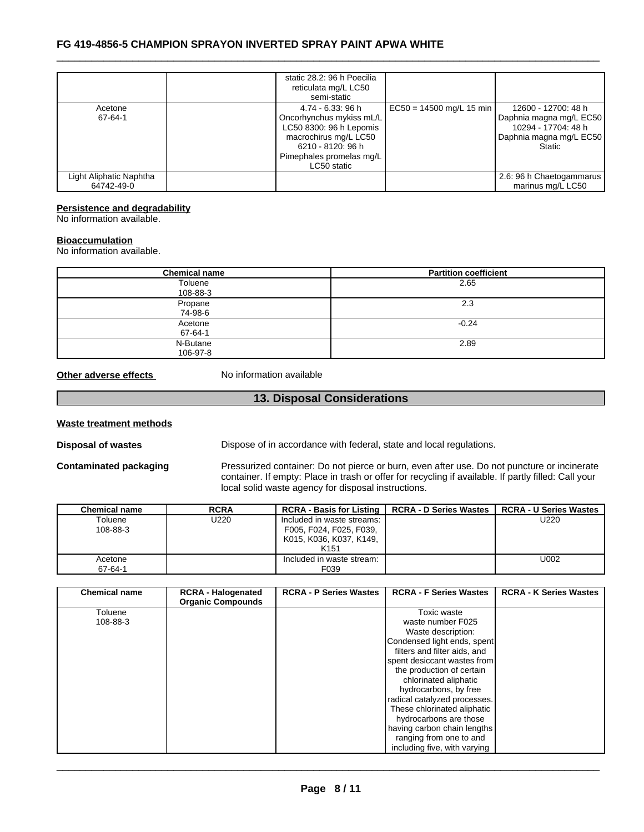|                                       | static 28.2: 96 h Poecilia                                                                                                                                        |                            |                                                                                                                   |  |
|---------------------------------------|-------------------------------------------------------------------------------------------------------------------------------------------------------------------|----------------------------|-------------------------------------------------------------------------------------------------------------------|--|
|                                       | reticulata mg/L LC50<br>semi-static                                                                                                                               |                            |                                                                                                                   |  |
| Acetone<br>67-64-1                    | 4.74 - 6.33: 96 h<br>Oncorhynchus mykiss mL/L<br>LC50 8300: 96 h Lepomis<br>macrochirus mg/L LC50<br>6210 - 8120: 96 h<br>Pimephales promelas mg/L<br>LC50 static | $EC50 = 14500$ mg/L 15 min | 12600 - 12700: 48 h<br>Daphnia magna mg/L EC50<br>10294 - 17704: 48 h<br>Daphnia magna mg/L EC50<br><b>Static</b> |  |
| Light Aliphatic Naphtha<br>64742-49-0 |                                                                                                                                                                   |                            | 2.6: 96 h Chaetogammarus<br>marinus mg/L LC50                                                                     |  |

## **Persistence and degradability**

No information available.

# **Bioaccumulation**

No information available.

| <b>Chemical name</b> | <b>Partition coefficient</b> |
|----------------------|------------------------------|
| Toluene              | 2.65                         |
| 108-88-3             |                              |
| Propane              | 2.3                          |
| 74-98-6              |                              |
| Acetone              | $-0.24$                      |
| 67-64-1              |                              |
| N-Butane             | 2.89                         |
| 106-97-8             |                              |

**Other adverse effects** No information available

# **13. Disposal Considerations**

#### **Waste treatment methods**

**Disposal of wastes** Dispose of in accordance with federal, state and local regulations.

**Contaminated packaging** Pressurized container: Do not pierce or burn, even after use. Do not puncture or incinerate container. If empty: Place in trash or offer for recycling if available. If partly filled: Call your local solid waste agency for disposal instructions.

| <b>Chemical name</b> | <b>RCRA</b> | <b>RCRA - Basis for Listing</b> | <b>RCRA - D Series Wastes</b> | <b>RCRA - U Series Wastes</b> |
|----------------------|-------------|---------------------------------|-------------------------------|-------------------------------|
| Toluene              | J220        | Included in waste streams:      |                               | U220                          |
| 108-88-3             |             | F005, F024, F025, F039,         |                               |                               |
|                      |             | K015, K036, K037, K149,         |                               |                               |
|                      |             | K <sub>151</sub>                |                               |                               |
| Acetone              |             | Included in waste stream:       |                               | U002                          |
| 67-64-1              |             | F039                            |                               |                               |

| <b>Chemical name</b> | <b>RCRA - Halogenated</b><br><b>Organic Compounds</b> | <b>RCRA - P Series Wastes</b> | <b>RCRA - F Series Wastes</b> | <b>RCRA - K Series Wastes</b> |
|----------------------|-------------------------------------------------------|-------------------------------|-------------------------------|-------------------------------|
| Toluene              |                                                       |                               | Toxic waste                   |                               |
| 108-88-3             |                                                       |                               | waste number F025             |                               |
|                      |                                                       |                               | Waste description:            |                               |
|                      |                                                       |                               | Condensed light ends, spent   |                               |
|                      |                                                       |                               | filters and filter aids, and  |                               |
|                      |                                                       |                               | spent desiccant wastes from   |                               |
|                      |                                                       |                               | the production of certain     |                               |
|                      |                                                       |                               | chlorinated aliphatic         |                               |
|                      |                                                       |                               | hydrocarbons, by free         |                               |
|                      |                                                       |                               | radical catalyzed processes.  |                               |
|                      |                                                       |                               | These chlorinated aliphatic   |                               |
|                      |                                                       |                               | hydrocarbons are those        |                               |
|                      |                                                       |                               | having carbon chain lengths   |                               |
|                      |                                                       |                               | ranging from one to and       |                               |
|                      |                                                       |                               | including five, with varying  |                               |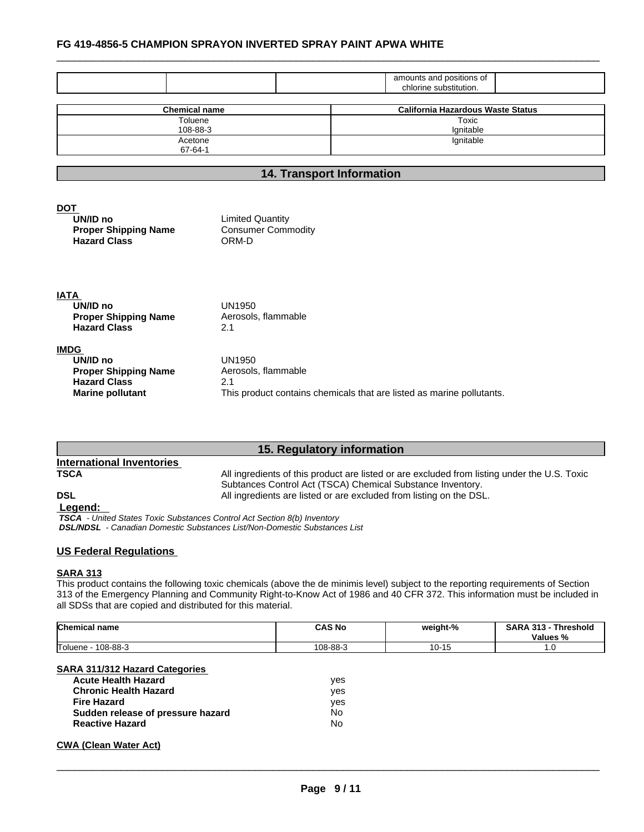|                                                                               |                                                               | amounts and positions of<br>chlorine substitution. |
|-------------------------------------------------------------------------------|---------------------------------------------------------------|----------------------------------------------------|
|                                                                               |                                                               |                                                    |
| <b>Chemical name</b>                                                          |                                                               | <b>California Hazardous Waste Status</b>           |
| Toluene                                                                       |                                                               | Toxic                                              |
| 108-88-3                                                                      |                                                               | Ignitable                                          |
| Acetone<br>$67 - 64 - 1$                                                      |                                                               | Ignitable                                          |
|                                                                               |                                                               |                                                    |
|                                                                               |                                                               | <b>14. Transport Information</b>                   |
| DOT<br>UN/ID no<br><b>Proper Shipping Name</b><br><b>Hazard Class</b>         | <b>Limited Quantity</b><br><b>Consumer Commodity</b><br>ORM-D |                                                    |
| <b>ATAI</b><br>UN/ID no<br><b>Proper Shipping Name</b><br><b>Hazard Class</b> | <b>UN1950</b><br>Aerosols, flammable<br>2.1                   |                                                    |

| <b>IMDG</b>                 |                                                                       |
|-----------------------------|-----------------------------------------------------------------------|
| UN/ID no                    | UN1950                                                                |
| <b>Proper Shipping Name</b> | Aerosols, flammable                                                   |
| <b>Hazard Class</b>         | 2.1                                                                   |
| <b>Marine pollutant</b>     | This product contains chemicals that are listed as marine pollutants. |

# **15. Regulatory information**

# **International Inventories**

**TSCA** All ingredients of this product are listed or are excluded from listing under the U.S. Toxic Subtances Control Act (TSCA) Chemical Substance Inventory. **DSL DSL All ingredients are listed or are excluded from listing on the DSL.** 

 **Legend:** 

 *TSCA - United States Toxic Substances Control Act Section 8(b) Inventory DSL/NDSL - Canadian Domestic Substances List/Non-Domestic Substances List*

# **US Federal Regulations**

#### **SARA 313**

This product contains the following toxic chemicals (above the de minimis level) subject to the reporting requirements of Section 313 of the Emergency Planning and Community Right-to-Know Act of 1986 and 40 CFR 372. This information must be included in all SDSs that are copied and distributed for this material.

| <b>Chemical name</b> | <b>CAS No</b> | weight-% | <b>SARA</b><br>242<br><b>Threshold</b><br>-313<br><b>Values</b><br>7٥ |
|----------------------|---------------|----------|-----------------------------------------------------------------------|
| Toluene<br>108-88-3  | 108-88-3      | v        | . . v                                                                 |

# **SARA 311/312 Hazard Categories**

| <b>Acute Health Hazard</b>        | ves |
|-----------------------------------|-----|
| <b>Chronic Health Hazard</b>      | ves |
| Fire Hazard                       | ves |
| Sudden release of pressure hazard | No  |
| <b>Reactive Hazard</b>            | No  |

# **CWA** (Clean Water Act)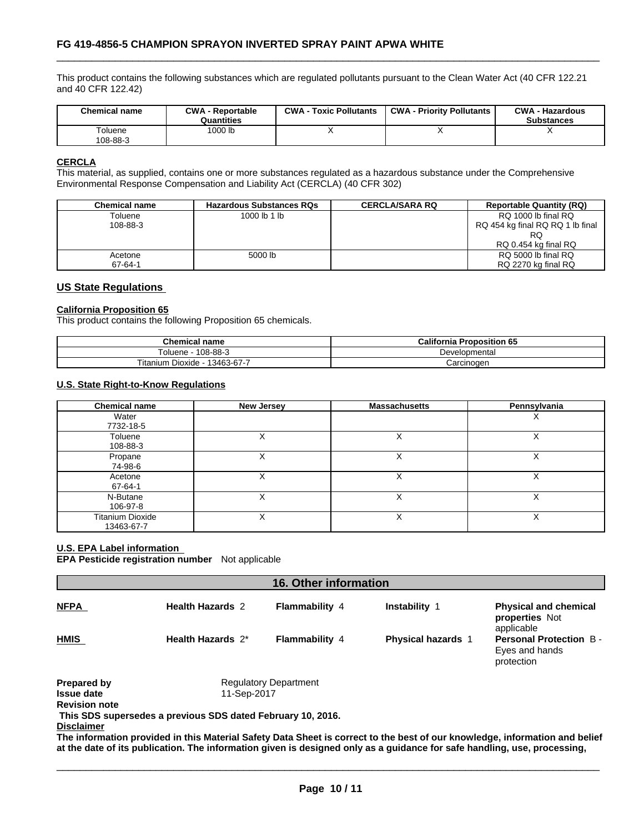This product contains the following substances which are regulated pollutants pursuant to the Clean Water Act (40 CFR 122.21 and 40 CFR 122.42)

| '000 lb<br>Toluene | <b>Chemical name</b> | CWA<br><b>A</b> - Reportable<br>Quantities | CWA-<br><b>Toxic Pollutants</b> | <b>CWA - Priority Pollutants</b> | <b>CWA - Hazardous</b><br><b>Substances</b> |
|--------------------|----------------------|--------------------------------------------|---------------------------------|----------------------------------|---------------------------------------------|
|                    | 108-88-3             |                                            |                                 |                                  |                                             |

# **CERCLA**

This material, as supplied, contains one or more substances regulated as a hazardous substance under the Comprehensive Environmental Response Compensation and Liability Act (CERCLA) (40 CFR 302)

| Chemical name | <b>Hazardous Substances RQs</b> | <b>CERCLA/SARA RQ</b> | <b>Reportable Quantity (RQ)</b>  |
|---------------|---------------------------------|-----------------------|----------------------------------|
| Toluene       | 1000 lb 1 lb                    |                       | RQ 1000 lb final RQ              |
| 108-88-3      |                                 |                       | RQ 454 kg final RQ RQ 1 lb final |
|               |                                 |                       | RQ                               |
|               |                                 |                       | RQ 0.454 kg final RQ             |
| Acetone       | 5000 lb                         |                       | RQ 5000 lb final RQ              |
| 67-64-1       |                                 |                       | RQ 2270 kg final RQ              |

# **US State Regulations**

### **California Proposition 65**

This product contains the following Proposition 65 chemicals.

| <b>Chemical name</b>                               | California<br>Proposition 65 |
|----------------------------------------------------|------------------------------|
| $-108-88-2$<br>l oluene                            | Developmental                |
| $- \cdot$ .<br>$-13463-67-7$<br>itanium<br>Dioxide | Carcinogen                   |

# **U.S. State Right-to-Know Regulations**

| <b>Chemical name</b>                  | <b>New Jersey</b> | <b>Massachusetts</b> | Pennsylvania |
|---------------------------------------|-------------------|----------------------|--------------|
| Water<br>7732-18-5                    |                   |                      | ⋏            |
| Toluene<br>108-88-3                   |                   |                      | ⋏            |
| Propane<br>74-98-6                    |                   |                      |              |
| Acetone<br>67-64-1                    |                   | v<br>⋏               | X            |
| N-Butane<br>106-97-8                  |                   |                      |              |
| <b>Titanium Dioxide</b><br>13463-67-7 |                   |                      | ⌒            |

# **U.S. EPA Label information**

**EPA Pesticide registration number** Not applicable

| <b>16. Other information</b> |                                                             |                              |                           |                                                               |
|------------------------------|-------------------------------------------------------------|------------------------------|---------------------------|---------------------------------------------------------------|
| <b>NFPA</b>                  | <b>Health Hazards 2</b>                                     | <b>Flammability 4</b>        | <b>Instability 1</b>      | <b>Physical and chemical</b><br>properties Not<br>applicable  |
| <b>HMIS</b>                  | Health Hazards 2*                                           | <b>Flammability 4</b>        | <b>Physical hazards 1</b> | <b>Personal Protection B-</b><br>Eyes and hands<br>protection |
| Prepared by                  |                                                             | <b>Regulatory Department</b> |                           |                                                               |
| <b>Issue date</b>            | 11-Sep-2017                                                 |                              |                           |                                                               |
| <b>Revision note</b>         |                                                             |                              |                           |                                                               |
|                              | This SDS supersedes a previous SDS dated February 10, 2016. |                              |                           |                                                               |
| <b>Disclaimer</b>            |                                                             |                              |                           |                                                               |

The information provided in this Material Safety Data Sheet is correct to the best of our knowledge, information and belief at the date of its publication. The information given is designed only as a guidance for safe handling, use, processing,